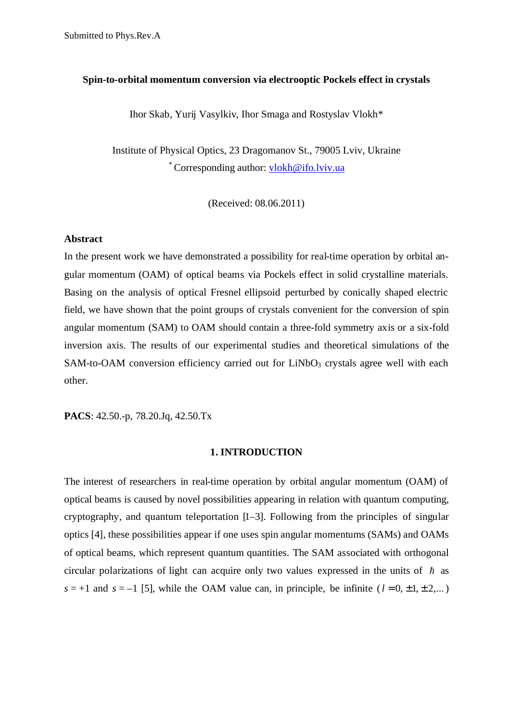### **Spin-to-orbital momentum conversion via electrooptic Pockels effect in crystals**

Ihor Skab, Yurij Vasylkiv, Ihor Smaga and Rostyslav Vlokh\*

Institute of Physical Optics, 23 Dragomanov St., 79005 Lviv, Ukraine \* Corresponding author: vlokh@ifo.lviv.ua

(Received: 08.06.2011)

### **Abstract**

In the present work we have demonstrated a possibility for real-time operation by orbital angular momentum (OAM) of optical beams via Pockels effect in solid crystalline materials. Basing on the analysis of optical Fresnel ellipsoid perturbed by conically shaped electric field, we have shown that the point groups of crystals convenient for the conversion of spin angular momentum (SAM) to OAM should contain a three-fold symmetry axis or a six-fold inversion axis. The results of our experimental studies and theoretical simulations of the SAM-to-OAM conversion efficiency carried out for  $LiNbO<sub>3</sub>$  crystals agree well with each other.

**PACS**: 42.50.-p, 78.20.Jq, 42.50.Tx

#### **1. INTRODUCTION**

The interest of researchers in real-time operation by orbital angular momentum (OAM) of optical beams is caused by novel possibilities appearing in relation with quantum computing, cryptography, and quantum teleportation [1–3]. Following from the principles of singular optics [4], these possibilities appear if one uses spin angular momentums (SAMs) and OAMs of optical beams, which represent quantum quantities. The SAM associated with orthogonal circular polarizations of light can acquire only two values expressed in the units of  $\hbar$  as  $s = +1$  and  $s = -1$  [5], while the OAM value can, in principle, be infinite ( $l = 0, \pm 1, \pm 2,...$ )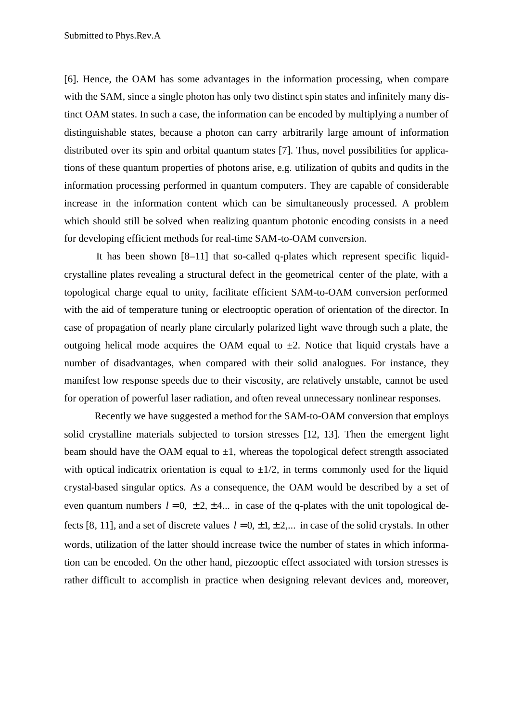[6]. Hence, the OAM has some advantages in the information processing, when compare with the SAM, since a single photon has only two distinct spin states and infinitely many distinct OAM states. In such a case, the information can be encoded by multiplying a number of distinguishable states, because a photon can carry arbitrarily large amount of information distributed over its spin and orbital quantum states [7]. Thus, novel possibilities for applications of these quantum properties of photons arise, e.g. utilization of qubits and qudits in the information processing performed in quantum computers. They are capable of considerable increase in the information content which can be simultaneously processed. A problem which should still be solved when realizing quantum photonic encoding consists in a need for developing efficient methods for real-time SAM-to-OAM conversion.

It has been shown [8–11] that so-called q-plates which represent specific liquidcrystalline plates revealing a structural defect in the geometrical center of the plate, with a topological charge equal to unity, facilitate efficient SAM-to-OAM conversion performed with the aid of temperature tuning or electrooptic operation of orientation of the director. In case of propagation of nearly plane circularly polarized light wave through such a plate, the outgoing helical mode acquires the OAM equal to  $\pm 2$ . Notice that liquid crystals have a number of disadvantages, when compared with their solid analogues. For instance, they manifest low response speeds due to their viscosity, are relatively unstable, cannot be used for operation of powerful laser radiation, and often reveal unnecessary nonlinear responses.

Recently we have suggested a method for the SAM-to-OAM conversion that employs solid crystalline materials subjected to torsion stresses [12, 13]. Then the emergent light beam should have the OAM equal to  $\pm 1$ , whereas the topological defect strength associated with optical indicatrix orientation is equal to  $\pm 1/2$ , in terms commonly used for the liquid crystal-based singular optics. As a consequence, the OAM would be described by a set of even quantum numbers  $l = 0, \pm 2, \pm 4, \ldots$  in case of the q-plates with the unit topological defects [8, 11], and a set of discrete values  $l = 0, \pm 1, \pm 2,...$  in case of the solid crystals. In other words, utilization of the latter should increase twice the number of states in which information can be encoded. On the other hand, piezooptic effect associated with torsion stresses is rather difficult to accomplish in practice when designing relevant devices and, moreover,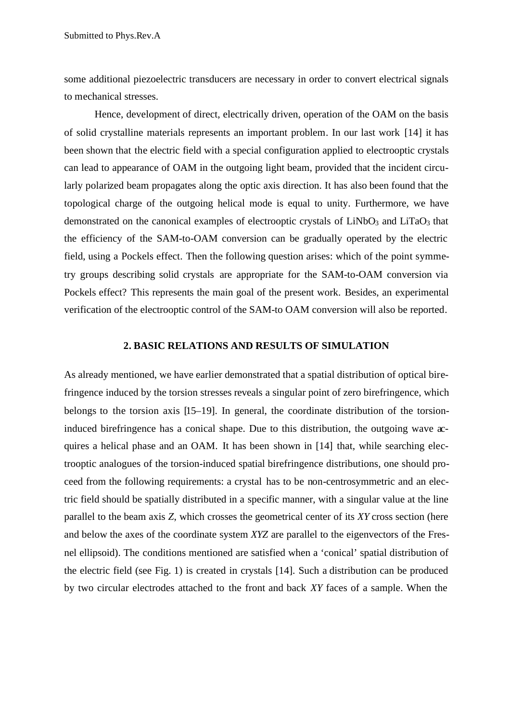some additional piezoelectric transducers are necessary in order to convert electrical signals to mechanical stresses.

Hence, development of direct, electrically driven, operation of the OAM on the basis of solid crystalline materials represents an important problem. In our last work [14] it has been shown that the electric field with a special configuration applied to electrooptic crystals can lead to appearance of OAM in the outgoing light beam, provided that the incident circularly polarized beam propagates along the optic axis direction. It has also been found that the topological charge of the outgoing helical mode is equal to unity. Furthermore, we have demonstrated on the canonical examples of electrooptic crystals of  $LiNbO<sub>3</sub>$  and  $LiTaO<sub>3</sub>$  that the efficiency of the SAM-to-OAM conversion can be gradually operated by the electric field, using a Pockels effect. Then the following question arises: which of the point symmetry groups describing solid crystals are appropriate for the SAM-to-OAM conversion via Pockels effect? This represents the main goal of the present work. Besides, an experimental verification of the electrooptic control of the SAM-to OAM conversion will also be reported.

### **2. BASIC RELATIONS AND RESULTS OF SIMULATION**

As already mentioned, we have earlier demonstrated that a spatial distribution of optical birefringence induced by the torsion stresses reveals a singular point of zero birefringence, which belongs to the torsion axis [15–19]. In general, the coordinate distribution of the torsioninduced birefringence has a conical shape. Due to this distribution, the outgoing wave acquires a helical phase and an OAM. It has been shown in [14] that, while searching electrooptic analogues of the torsion-induced spatial birefringence distributions, one should proceed from the following requirements: a crystal has to be non-centrosymmetric and an electric field should be spatially distributed in a specific manner, with a singular value at the line parallel to the beam axis *Z*, which crosses the geometrical center of its *XY* cross section (here and below the axes of the coordinate system *XYZ* are parallel to the eigenvectors of the Fresnel ellipsoid). The conditions mentioned are satisfied when a 'conical' spatial distribution of the electric field (see Fig. 1) is created in crystals [14]. Such a distribution can be produced by two circular electrodes attached to the front and back *XY* faces of a sample. When the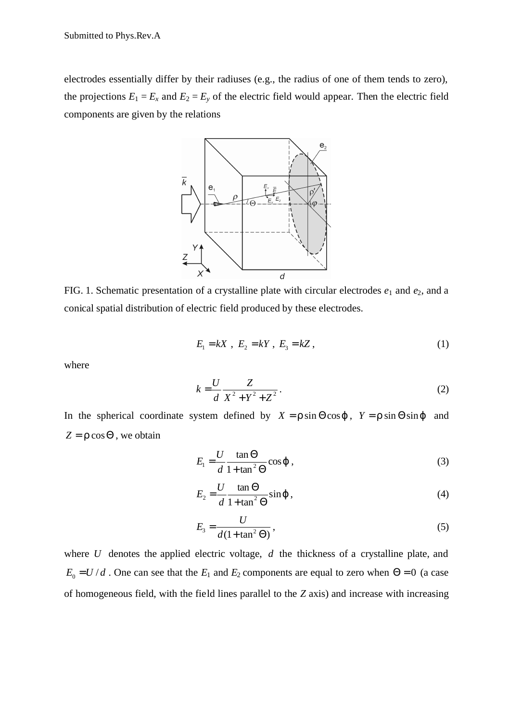electrodes essentially differ by their radiuses (e.g., the radius of one of them tends to zero), the projections  $E_1 = E_x$  and  $E_2 = E_y$  of the electric field would appear. Then the electric field components are given by the relations



FIG. 1. Schematic presentation of a crystalline plate with circular electrodes *e*1 and *e*2, and a conical spatial distribution of electric field produced by these electrodes.

$$
E_1 = kX \, , \, E_2 = kY \, , \, E_3 = kZ \, , \tag{1}
$$

where

$$
k = \frac{U}{d} \frac{Z}{X^2 + Y^2 + Z^2}.
$$
 (2)

In the spherical coordinate system defined by  $X = r \sin \Theta \cos j$ ,  $Y = r \sin \Theta \sin j$  and  $Z = r \cos \Theta$ , we obtain

$$
E_1 = \frac{U}{d} \frac{\tan \Theta}{1 + \tan^2 \Theta} \cos \boldsymbol{j} \tag{3}
$$

$$
E_2 = \frac{U}{d} \frac{\tan \Theta}{1 + \tan^2 \Theta} \sin \mathbf{j} \tag{4}
$$

$$
E_3 = \frac{U}{d(1 + \tan^2 \Theta)},
$$
\n(5)

where *U* denotes the applied electric voltage, *d* the thickness of a crystalline plate, and  $E_0 = U/d$ . One can see that the  $E_1$  and  $E_2$  components are equal to zero when  $\Theta = 0$  (a case of homogeneous field, with the field lines parallel to the *Z* axis) and increase with increasing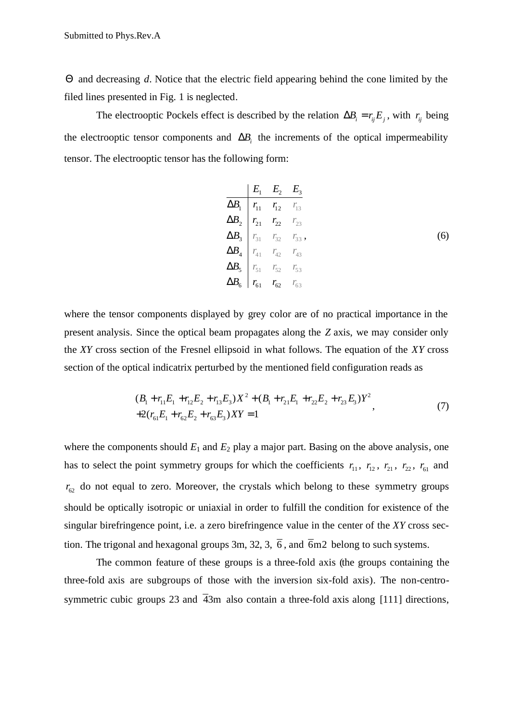Θ and decreasing *d*. Notice that the electric field appearing behind the cone limited by the filed lines presented in Fig. 1 is neglected.

The electrooptic Pockels effect is described by the relation  $\Delta B_i = r_i E_j$ , with  $r_i$  being the electrooptic tensor components and  $\Delta B_i$  the increments of the optical impermeability tensor. The electrooptic tensor has the following form:

$$
\begin{array}{c|cc}\n & E_1 & E_2 & E_3 \\
\hline\n\Delta B_1 & r_{11} & r_{12} & r_{13} \\
\Delta B_2 & r_{21} & r_{22} & r_{23} \\
\Delta B_3 & r_{31} & r_{32} & r_{33} \\
\Delta B_4 & r_{41} & r_{42} & r_{43} \\
\Delta B_5 & r_{51} & r_{52} & r_{53} \\
\Delta B_6 & r_{61} & r_{62} & r_{63}\n\end{array}
$$
\n(6)

where the tensor components displayed by grey color are of no practical importance in the present analysis. Since the optical beam propagates along the *Z* axis, we may consider only the *XY* cross section of the Fresnel ellipsoid in what follows. The equation of the *XY* cross section of the optical indicatrix perturbed by the mentioned field configuration reads as

$$
(B_1 + r_{11}E_1 + r_{12}E_2 + r_{13}E_3)X^2 + (B_1 + r_{21}E_1 + r_{22}E_2 + r_{23}E_3)Y^2
$$
  
+2(r<sub>61</sub>E<sub>1</sub> + r<sub>62</sub>E<sub>2</sub> + r<sub>63</sub>E<sub>3</sub>)XY = 1 (7)

where the components should  $E_1$  and  $E_2$  play a major part. Basing on the above analysis, one has to select the point symmetry groups for which the coefficients  $r_{11}$ ,  $r_{12}$ ,  $r_{21}$ ,  $r_{22}$ ,  $r_{61}$  and  $r_{62}$  do not equal to zero. Moreover, the crystals which belong to these symmetry groups should be optically isotropic or uniaxial in order to fulfill the condition for existence of the singular birefringence point, i.e. a zero birefringence value in the center of the *XY* cross section. The trigonal and hexagonal groups 3m, 32, 3,  $\overline{6}$ , and  $\overline{6}$ m2 belong to such systems.

The common feature of these groups is a three-fold axis (the groups containing the three-fold axis are subgroups of those with the inversion six-fold axis). The non-centrosymmetric cubic groups 23 and  $\overline{4}3m$  also contain a three-fold axis along [111] directions,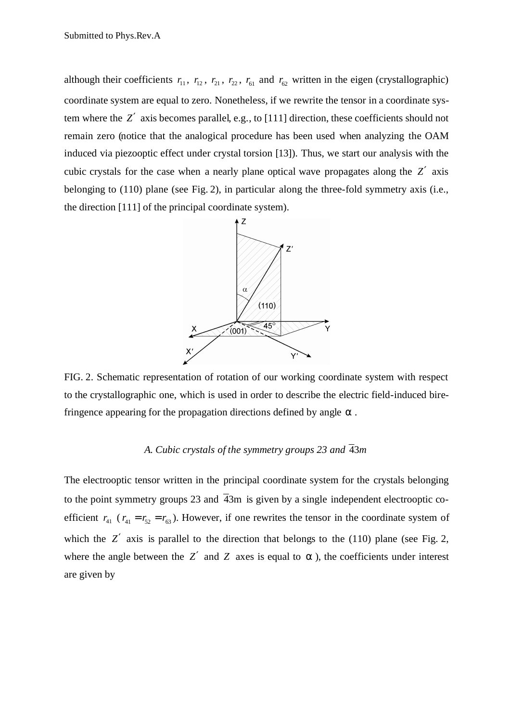although their coefficients  $r_{11}$ ,  $r_{12}$ ,  $r_{21}$ ,  $r_{22}$ ,  $r_{61}$  and  $r_{62}$  written in the eigen (crystallographic) coordinate system are equal to zero. Nonetheless, if we rewrite the tensor in a coordinate system where the *Z*′ axis becomes parallel, e.g., to [111] direction, these coefficients should not remain zero (notice that the analogical procedure has been used when analyzing the OAM induced via piezooptic effect under crystal torsion [13]). Thus, we start our analysis with the cubic crystals for the case when a nearly plane optical wave propagates along the *Z*′ axis belonging to (110) plane (see Fig. 2), in particular along the three-fold symmetry axis (i.e., the direction [111] of the principal coordinate system).



FIG. 2. Schematic representation of rotation of our working coordinate system with respect to the crystallographic one, which is used in order to describe the electric field-induced birefringence appearing for the propagation directions defined by angle *a* .

# *A. Cubic crystals of the symmetry groups* 23 and  $\overline{4}3m$

The electrooptic tensor written in the principal coordinate system for the crystals belonging to the point symmetry groups 23 and  $\overline{4}3m$  is given by a single independent electrooptic coefficient  $r_{41}$  ( $r_{41} = r_{52} = r_{63}$ ). However, if one rewrites the tensor in the coordinate system of which the *Z'* axis is parallel to the direction that belongs to the (110) plane (see Fig. 2, where the angle between the  $Z'$  and  $Z$  axes is equal to  $a$ , the coefficients under interest are given by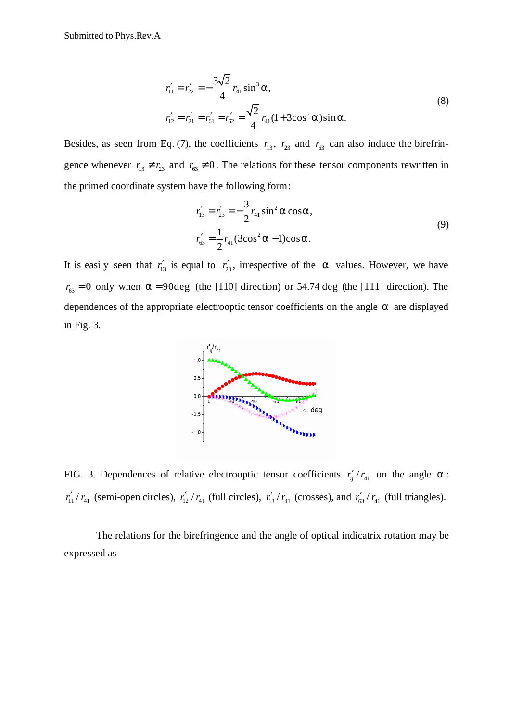$$
r'_{11} = r'_{22} = -\frac{3\sqrt{2}}{4} r_{41} \sin^3 \mathbf{a},
$$
  
\n
$$
r'_{12} = r'_{21} = r'_{61} = r'_{62} = \frac{\sqrt{2}}{4} r_{41} (1 + 3\cos^2 \mathbf{a}) \sin \mathbf{a}.
$$
\n(8)

Besides, as seen from Eq. (7), the coefficients  $r_{13}$ ,  $r_{23}$  and  $r_{63}$  can also induce the birefringence whenever  $r_{13} \neq r_{23}$  and  $r_{63} \neq 0$ . The relations for these tensor components rewritten in the primed coordinate system have the following form:

$$
r'_{13} = r'_{23} = -\frac{3}{2}r_{41}\sin^2 \mathbf{a}\cos \mathbf{a},
$$
  

$$
r'_{63} = \frac{1}{2}r_{41}(3\cos^2 \mathbf{a} - 1)\cos \mathbf{a}.
$$
 (9)

It is easily seen that  $r'_{13}$  is equal to  $r'_{23}$ , irrespective of the *a* values. However, we have  $r_{63} = 0$  only when  $a = 90$ deg (the [110] direction) or 54.74 deg (the [111] direction). The dependences of the appropriate electrooptic tensor coefficients on the angle *a* are displayed in Fig. 3.



FIG. 3. Dependences of relative electrooptic tensor coefficients  $r'_{ij}/r_{41}$  on the angle  $a$ :  $r'_{11}$  /  $r_{41}$  (semi-open circles),  $r'_{12}$  /  $r_{41}$  (full circles),  $r'_{13}$  /  $r_{41}$  (crosses), and  $r'_{63}$  /  $r_{41}$  (full triangles).

The relations for the birefringence and the angle of optical indicatrix rotation may be expressed as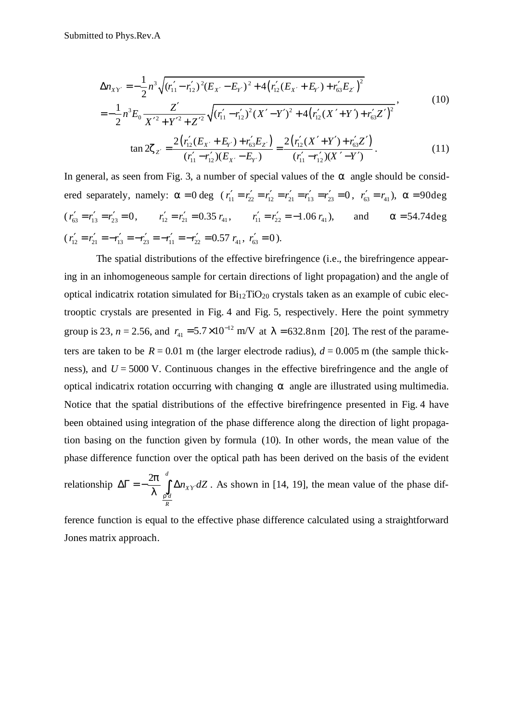$$
\Delta n_{XY'} = -\frac{1}{2} n^3 \sqrt{(r_{11}' - r_{12}')^2 (E_{X'} - E_{Y'})^2 + 4 (r_{12}' (E_{X'} + E_{Y'}) + r_{63}' E_{Z'})^2}
$$
  
= 
$$
-\frac{1}{2} n^3 E_0 \frac{Z'}{X'^2 + X'^2 + Z'^2} \sqrt{(r_{11}' - r_{12}')^2 (X' - Y')^2 + 4 (r_{12}' (X' + Y') + r_{63}' Z')^2},
$$
(10)

$$
-\frac{1}{2}n^3E_0 \frac{Z}{X'^2 + Y'^2 + Z'^2} \sqrt{(r'_{11} - r'_{12})^2 (X' - Y')^2 + 4(r'_{12}(X' + Y') + r'_{63}Z')^2}
$$
  
\n
$$
\tan 2Z_{Z'} = \frac{2(r'_{12}(E_{X'} + E_{Y'}) + r'_{63}E_{Z'})}{(r'_{11} - r'_{12})(E_{X'} - E_{Y'})} = \frac{2(r'_{12}(X' + Y') + r'_{63}Z')}{(r'_{11} - r'_{12})(X' - Y')}.
$$
(11)

In general, as seen from Fig. 3, a number of special values of the *a* angle should be considered separately, namely:  $\mathbf{a} = 0$  deg ( $r'_{11} = r'_{22} = r'_{12} = r'_{21} = r'_{13} = r'_{23} = 0$ ,  $r'_{63} = r_{41}$ ),  $\mathbf{a} = 90$ deg  $(r'_{63} = r'_{13} = r'_{23} = 0,$   $r'_{12} = r'_{21} = 0.35 r_{41},$   $r'_{11} = r'_{22} = -1.06 r_{41},$  and  $\mathbf{a} = 54.74 \text{deg}$  $(r'_{12} = r'_{21} = -r'_{13} = -r'_{23} = -r'_{11} = -r'_{22} = 0.57 r_{41}, r'_{63} = 0$ ).

The spatial distributions of the effective birefringence (i.e., the birefringence appearing in an inhomogeneous sample for certain directions of light propagation) and the angle of optical indicatrix rotation simulated for  $Bi_{12}TiO_{20}$  crystals taken as an example of cubic electrooptic crystals are presented in Fig. 4 and Fig. 5, respectively. Here the point symmetry group is 23,  $n = 2.56$ , and  $r_{41} = 5.7 \times 10^{-12}$  m/V at  $I = 632.8$ nm [20]. The rest of the parameters are taken to be  $R = 0.01$  m (the larger electrode radius),  $d = 0.005$  m (the sample thickness), and  $U = 5000$  V. Continuous changes in the effective birefringence and the angle of optical indicatrix rotation occurring with changing *a* angle are illustrated using multimedia. Notice that the spatial distributions of the effective birefringence presented in Fig. 4 have been obtained using integration of the phase difference along the direction of light propagation basing on the function given by formula (10). In other words, the mean value of the phase difference function over the optical path has been derived on the basis of the evident

relationship 
$$
\Delta \Gamma = -\frac{2p}{I} \int_{\frac{r'd}{R}}^{d} \Delta n_{XY} dZ
$$
. As shown in [14, 19], the mean value of the phase dif-

ference function is equal to the effective phase difference calculated using a straightforward Jones matrix approach.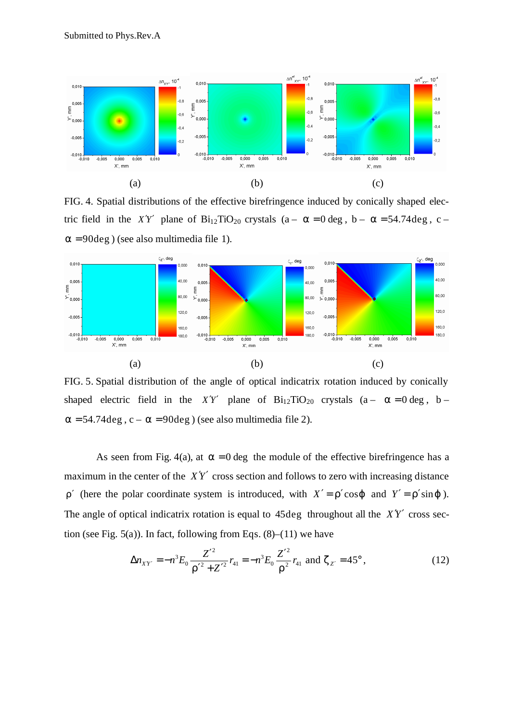

FIG. 4. Spatial distributions of the effective birefringence induced by conically shaped electric field in the *X'Y'* plane of  $Bi_{12}TiO_{20}$  crystals  $(a - a = 0 \text{ deg}, b - a = 54.74 \text{ deg}, c - a = 0 \text{ deg}, c = 54.74 \text{ deg}, c = 54.74 \text{ deg}, c = 54.74 \text{ deg}, c = 54.74 \text{ deg}, c = 54.74 \text{ deg}, c = 54.74 \text{ deg}, c = 54.74 \text{ deg}, c = 54.74 \text{ deg}, c = 54.74 \text{ deg}, c = 54.74 \$ *a* = 90deg ) (see also multimedia file 1).



FIG. 5. Spatial distribution of the angle of optical indicatrix rotation induced by conically shaped electric field in the *X'Y'* plane of  $Bi_{12}TiO_{20}$  crystals (a –  $a = 0$  deg, b –  $a = 54.74 \text{deg}, c - a = 90 \text{deg}$ ) (see also multimedia file 2).

As seen from Fig. 4(a), at  $\mathbf{a} = 0$  deg the module of the effective birefringence has a maximum in the center of the  $XY'$  cross section and follows to zero with increasing distance *r'* (here the polar coordinate system is introduced, with  $X' = r' \cos j$  and  $Y' = r' \sin j$ ). The angle of optical indicatrix rotation is equal to  $45 \text{deg}$  throughout all the  $X\gamma'$  cross section (see Fig.  $5(a)$ ). In fact, following from Eqs.  $(8)$ – $(11)$  we have

$$
\Delta n_{XY'} = -n^3 E_0 \frac{Z'^2}{r'^2 + Z'^2} r_{41} = -n^3 E_0 \frac{Z'^2}{r^2} r_{41} \text{ and } \mathbf{z}_{Z'} = 45^\circ, \tag{12}
$$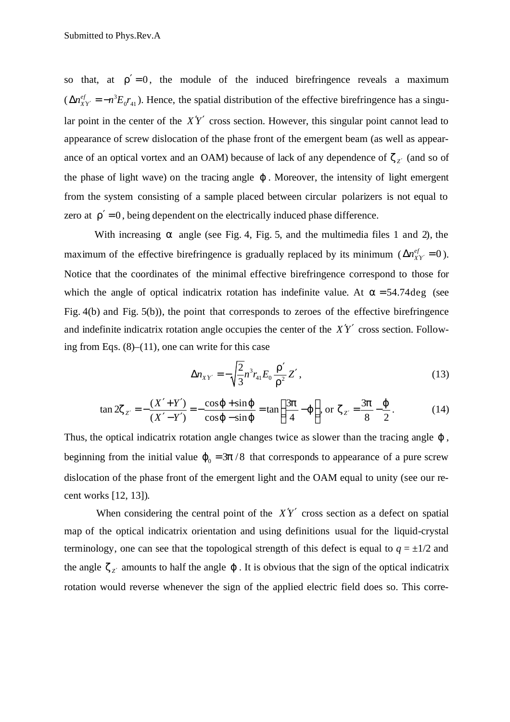so that, at  $r' = 0$ , the module of the induced birefringence reveals a maximum  $(\Delta n_{xy}^{ef} = -n^3)$  $0'$  41  $\Delta n_{XY}^{ef} = -n^3 E_0 r_{41}$ ). Hence, the spatial distribution of the effective birefringence has a singular point in the center of the  $X'Y'$  cross section. However, this singular point cannot lead to appearance of screw dislocation of the phase front of the emergent beam (as well as appearance of an optical vortex and an OAM) because of lack of any dependence of  $z_{Z'}$  (and so of the phase of light wave) on the tracing angle *j* . Moreover, the intensity of light emergent from the system consisting of a sample placed between circular polarizers is not equal to zero at  $r' = 0$ , being dependent on the electrically induced phase difference.

With increasing *a* angle (see Fig. 4, Fig. 5, and the multimedia files 1 and 2), the maximum of the effective birefringence is gradually replaced by its minimum ( $\Delta n_{XY}^{ef} = 0$ ). Notice that the coordinates of the minimal effective birefringence correspond to those for which the angle of optical indicatrix rotation has indefinite value. At  $a = 54.74 \text{deg}$  (see Fig. 4(b) and Fig. 5(b)), the point that corresponds to zeroes of the effective birefringence and indefinite indicatrix rotation angle occupies the center of the  $XY'$  cross section. Following from Eqs.  $(8)$ – $(11)$ , one can write for this case

$$
\Delta n_{XY'} = -\sqrt{\frac{2}{3}} n^3 r_{41} E_0 \frac{\mathbf{r}'}{\mathbf{r}^2} Z', \qquad (13)
$$

$$
\tan 2z_{z'} = -\frac{(X' + Y')}{(X' - Y')} = -\frac{\cos j + \sin j}{\cos j - \sin j} = \tan \left( \frac{3p}{4} - j \right), \text{ or } z_{z'} = \frac{3p}{8} - \frac{j}{2}. \tag{14}
$$

Thus, the optical indicatrix rotation angle changes twice as slower than the tracing angle *j* , beginning from the initial value  $j_0 = 3p/8$  that corresponds to appearance of a pure screw dislocation of the phase front of the emergent light and the OAM equal to unity (see our recent works [12, 13]).

When considering the central point of the  $XY'$  cross section as a defect on spatial map of the optical indicatrix orientation and using definitions usual for the liquid-crystal terminology, one can see that the topological strength of this defect is equal to  $q = \pm 1/2$  and the angle  $z_z$  amounts to half the angle  $j$ . It is obvious that the sign of the optical indicatrix rotation would reverse whenever the sign of the applied electric field does so. This corre-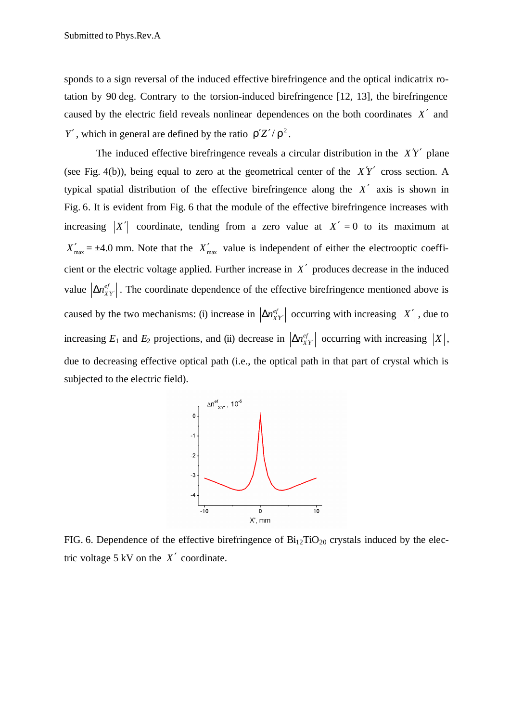sponds to a sign reversal of the induced effective birefringence and the optical indicatrix rotation by 90 deg. Contrary to the torsion-induced birefringence [12, 13], the birefringence caused by the electric field reveals nonlinear dependences on the both coordinates *X*′ and *Y'*, which in general are defined by the ratio  $\mathbf{r}'\mathbf{Z}'/\mathbf{r}^2$ .

The induced effective birefringence reveals a circular distribution in the  $\chi'Y'$  plane (see Fig. 4(b)), being equal to zero at the geometrical center of the  $\chi'Y'$  cross section. A typical spatial distribution of the effective birefringence along the *X*′ axis is shown in Fig. 6. It is evident from Fig. 6 that the module of the effective birefringence increases with increasing  $|X'|$  coordinate, tending from a zero value at  $X' = 0$  to its maximum at  $X'_{\text{max}} = \pm 4.0$  mm. Note that the  $X'_{\text{max}}$  value is independent of either the electrooptic coefficient or the electric voltage applied. Further increase in *X*′ produces decrease in the induced value  $\left|\Delta n_{XY}^{ef}\right|$ . The coordinate dependence of the effective birefringence mentioned above is caused by the two mechanisms: (i) increase in  $\left| \Delta n_{XY}^{ef} \right|$  occurring with increasing  $|X'|$ , due to increasing  $E_1$  and  $E_2$  projections, and (ii) decrease in  $\left| \Delta n_{XY}^{ef} \right|$  occurring with increasing  $|X|$ , due to decreasing effective optical path (i.e., the optical path in that part of crystal which is subjected to the electric field).



FIG. 6. Dependence of the effective birefringence of  $Bi_{12}TiO_{20}$  crystals induced by the electric voltage 5 kV on the *X*′ coordinate.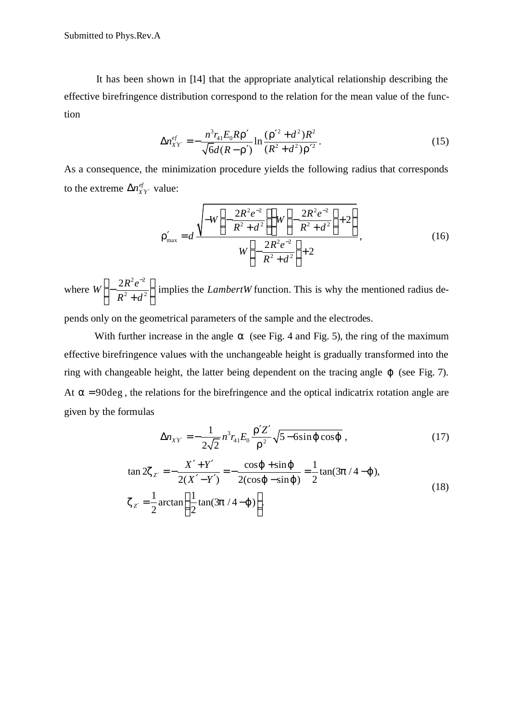It has been shown in [14] that the appropriate analytical relationship describing the effective birefringence distribution correspond to the relation for the mean value of the function

$$
\Delta n_{XY}^{ef} = -\frac{n^3 r_{41} E_0 R \mathbf{r}'}{\sqrt{6} d(R - \mathbf{r}')} \ln \frac{(\mathbf{r}'^2 + d^2) R^2}{(R^2 + d^2) \mathbf{r}'^2}.
$$
 (15)

As a consequence, the minimization procedure yields the following radius that corresponds to the extreme  $\Delta n_{XY}^{ef}$  value:

$$
\mathbf{r}'_{\text{max}} = d \frac{\sqrt{-W\left(-\frac{2R^2e^{-2}}{R^2+d^2}\right)W\left(-\frac{2R^2e^{-2}}{R^2+d^2}\right)+2}}{W\left(-\frac{2R^2e^{-2}}{R^2+d^2}\right)+2},\tag{16}
$$

where  $2 -2$  $W\left(-\frac{2R^2e^{-2}}{R^2+d^2}\right)$  $R^2 + d$  $\left(-\frac{2R^2e^{-2}}{R^2+d^2}\right)$  $\left(R^2+d^2\right)$ implies the *LambertW* function. This is why the mentioned radius de-

pends only on the geometrical parameters of the sample and the electrodes.

With further increase in the angle **a** (see Fig. 4 and Fig. 5), the ring of the maximum effective birefringence values with the unchangeable height is gradually transformed into the ring with changeable height, the latter being dependent on the tracing angle *j* (see Fig. 7). At  $a = 90 \text{deg}$ , the relations for the birefringence and the optical indicatrix rotation angle are given by the formulas

$$
\Delta n_{XY'} = -\frac{1}{2\sqrt{2}} n^3 r_{41} E_0 \frac{\mathbf{r}' Z'}{\mathbf{r}^2} \sqrt{5 - 6\sin \mathbf{j} \, \cos \mathbf{j}} \,, \tag{17}
$$

$$
\tan 2z_{Z'} = -\frac{X' + Y'}{2(X' - Y')} = -\frac{\cos j + \sin j}{2(\cos j - \sin j)} = \frac{1}{2} \tan(3p / 4 - j),
$$
  

$$
z_{Z'} = \frac{1}{2} \arctan\left(\frac{1}{2} \tan(3p / 4 - j)\right).
$$
 (18)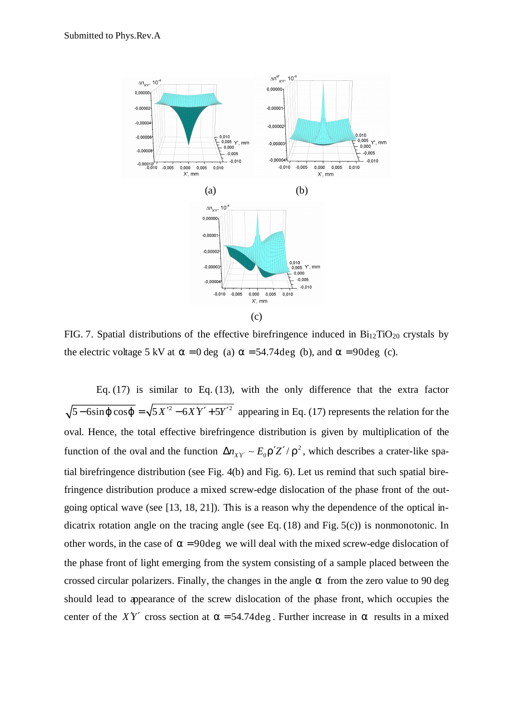

FIG. 7. Spatial distributions of the effective birefringence induced in  $Bi_{12}TiO_{20}$  crystals by the electric voltage 5 kV at  $a = 0$  deg (a)  $a = 54.74$  deg (b), and  $a = 90$  deg (c).

Eq.  $(17)$  is similar to Eq.  $(13)$ , with the only difference that the extra factor  $\sqrt{5 - 6\sin j \cos j} = \sqrt{5X'^2 - 6XY' + 5Y'^2}$  appearing in Eq. (17) represents the relation for the oval. Hence, the total effective birefringence distribution is given by multiplication of the function of the oval and the function  $\Delta n_{XY} \sim E_0 \mathbf{r}' Z' / \mathbf{r}^2$ , which describes a crater-like spatial birefringence distribution (see Fig. 4(b) and Fig. 6). Let us remind that such spatial birefringence distribution produce a mixed screw-edge dislocation of the phase front of the outgoing optical wave (see [13, 18, 21]). This is a reason why the dependence of the optical indicatrix rotation angle on the tracing angle (see Eq. (18) and Fig. 5(c)) is nonmonotonic. In other words, in the case of  $a = 90$ deg we will deal with the mixed screw-edge dislocation of the phase front of light emerging from the system consisting of a sample placed between the crossed circular polarizers. Finally, the changes in the angle *a* from the zero value to 90 deg should lead to appearance of the screw dislocation of the phase front, which occupies the center of the *X'Y'* cross section at  $a = 54.74 \text{ deg}$ . Further increase in *a* results in a mixed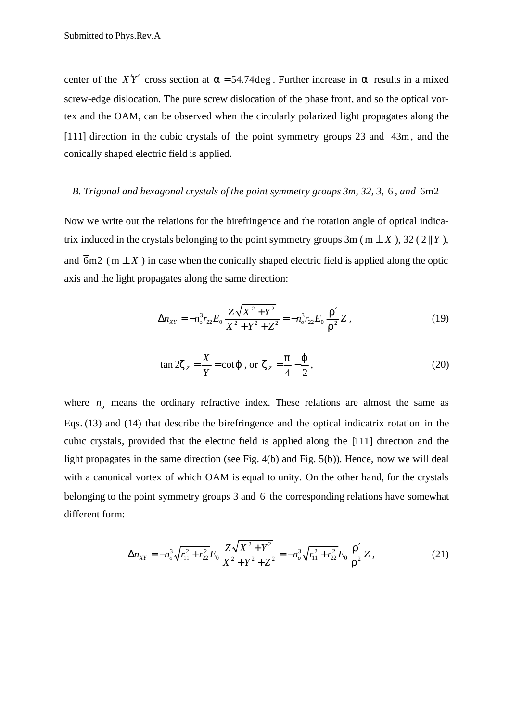center of the *XY'* cross section at  $a = 54.74 \text{ deg}$ . Further increase in *a* results in a mixed screw-edge dislocation. The pure screw dislocation of the phase front, and so the optical vortex and the OAM, can be observed when the circularly polarized light propagates along the [111] direction in the cubic crystals of the point symmetry groups 23 and  $\overline{4}3m$ , and the conically shaped electric field is applied.

## *B. Trigonal and hexagonal crystals of the point symmetry groups 3m, 32, 3,*  $\overline{6}$ *, and*  $\overline{6}$ *m2*

Now we write out the relations for the birefringence and the rotation angle of optical indicatrix induced in the crystals belonging to the point symmetry groups 3m (m  $\perp X$ ), 32 (2 ||Y), and  $\overline{6m2}$  (m  $\pm X$ ) in case when the conically shaped electric field is applied along the optic axis and the light propagates along the same direction:

$$
\Delta n_{XY} = -n_o^3 r_{22} E_0 \frac{Z \sqrt{X^2 + Y^2}}{X^2 + Y^2 + Z^2} = -n_o^3 r_{22} E_0 \frac{r'}{r^2} Z,
$$
\n(19)

$$
\tan 2z_z = \frac{X}{Y} = \cot j \text{ , or } z_z = \frac{p}{4} - \frac{j}{2}, \qquad (20)
$$

where  $n<sub>o</sub>$  means the ordinary refractive index. These relations are almost the same as Eqs. (13) and (14) that describe the birefringence and the optical indicatrix rotation in the cubic crystals, provided that the electric field is applied along the [111] direction and the light propagates in the same direction (see Fig. 4(b) and Fig. 5(b)). Hence, now we will deal with a canonical vortex of which OAM is equal to unity. On the other hand, for the crystals belonging to the point symmetry groups 3 and  $\overline{6}$  the corresponding relations have somewhat different form:

$$
\Delta n_{XY} = -n_o^3 \sqrt{r_{11}^2 + r_{22}^2} E_0 \frac{Z \sqrt{X^2 + Y^2}}{X^2 + Y^2 + Z^2} = -n_o^3 \sqrt{r_{11}^2 + r_{22}^2} E_0 \frac{\mathbf{r}'}{\mathbf{r}^2} Z,
$$
(21)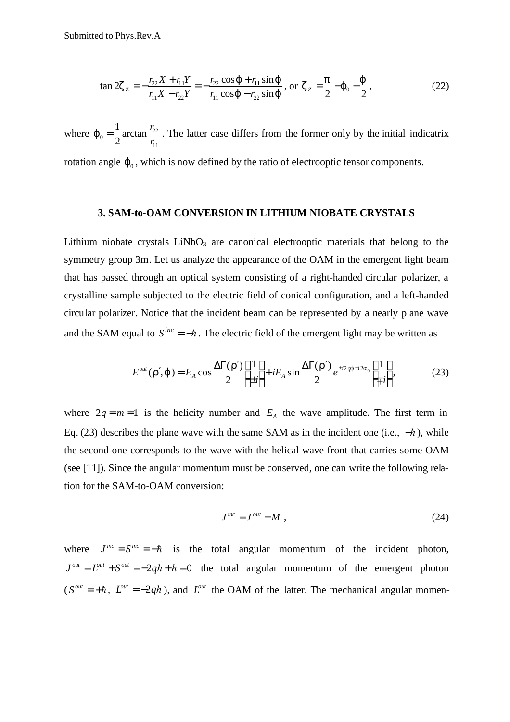$$
\tan 2z_{z} = -\frac{r_{22}X + r_{11}Y}{r_{11}X - r_{22}Y} = -\frac{r_{22}\cos j + r_{11}\sin j}{r_{11}\cos j - r_{22}\sin j}, \text{ or } z_{z} = \frac{p}{2} - j_{0} - \frac{j}{2}, \tag{22}
$$

where  $\boldsymbol{j}_0 = \frac{1}{2} \arctan \frac{I_{22}}{I}$ 11  $\frac{1}{2}$ arctan 2 *r r*  $j_0 = \frac{1}{2}$  arctan  $\frac{122}{2}$ . The latter case differs from the former only by the initial indicatrix rotation angle  $j_0$ , which is now defined by the ratio of electrooptic tensor components.

## **3. SAM-to-OAM CONVERSION IN LITHIUM NIOBATE CRYSTALS**

Lithium niobate crystals LiNbO<sub>3</sub> are canonical electrooptic materials that belong to the symmetry group 3m. Let us analyze the appearance of the OAM in the emergent light beam that has passed through an optical system consisting of a right-handed circular polarizer, a crystalline sample subjected to the electric field of conical configuration, and a left-handed circular polarizer. Notice that the incident beam can be represented by a nearly plane wave and the SAM equal to  $S^{inc} = -\hbar$ . The electric field of the emergent light may be written as

$$
E^{out}(\mathbf{r}'\mathbf{j}) = E_A \cos \frac{\Delta \Gamma(\mathbf{r}')}{2} \begin{bmatrix} 1 \\ \pm i \end{bmatrix} + iE_A \sin \frac{\Delta \Gamma(\mathbf{r}')}{2} e^{\pm i2\mathbf{q}j \pm i2\mathbf{a}_0} \begin{bmatrix} 1 \\ \mp i \end{bmatrix},
$$
(23)

where  $2q = m = 1$  is the helicity number and  $E_A$  the wave amplitude. The first term in Eq. (23) describes the plane wave with the same SAM as in the incident one (i.e.,  $-\hbar$ ), while the second one corresponds to the wave with the helical wave front that carries some OAM (see [11]). Since the angular momentum must be conserved, one can write the following relation for the SAM-to-OAM conversion:

$$
J^{inc} = J^{out} + M \t{,} \t(24)
$$

where  $J^{inc} = S^{inc} = -\hbar$  is the total angular momentum of the incident photon,  $J^{out} = L^{out} + S^{out} = -2q\hbar + \hbar = 0$  the total angular momentum of the emergent photon  $(S^{out} = +\hbar, L^{out} = -2q\hbar)$ , and  $L^{out}$  the OAM of the latter. The mechanical angular momen-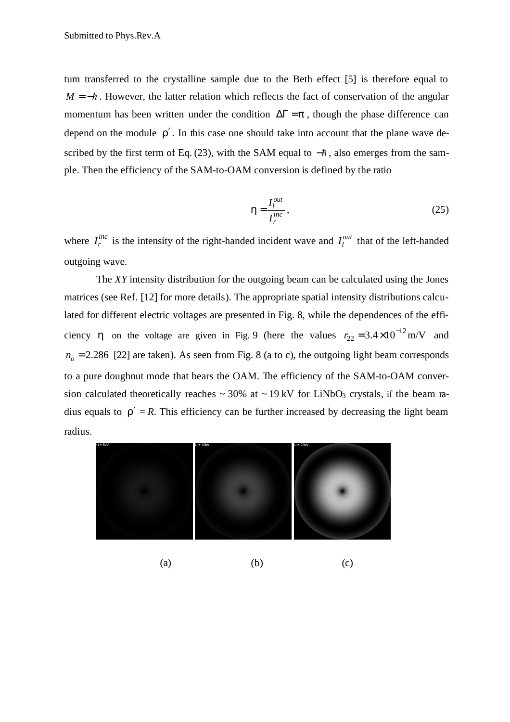tum transferred to the crystalline sample due to the Beth effect [5] is therefore equal to  $M = -\hbar$ . However, the latter relation which reflects the fact of conservation of the angular momentum has been written under the condition  $\Delta \Gamma = p$ , though the phase difference can depend on the module  $r'$ . In this case one should take into account that the plane wave described by the first term of Eq. (23), with the SAM equal to  $-\hbar$ , also emerges from the sample. Then the efficiency of the SAM-to-OAM conversion is defined by the ratio

$$
\mathbf{h} = \frac{I_l^{out}}{I_r^{inc}},\tag{25}
$$

where  $I_r^{inc}$  is the intensity of the right-handed incident wave and  $I_l^{out}$  that of the left-handed outgoing wave.

The *XY* intensity distribution for the outgoing beam can be calculated using the Jones matrices (see Ref. [12] for more details). The appropriate spatial intensity distributions calculated for different electric voltages are presented in Fig. 8, while the dependences of the efficiency **h** on the voltage are given in Fig. 9 (here the values  $r_{22} = 3.4 \times 10^{-12}$  m/V and  $n<sub>o</sub> = 2.286$  [22] are taken). As seen from Fig. 8 (a to c), the outgoing light beam corresponds to a pure doughnut mode that bears the OAM. The efficiency of the SAM-to-OAM conversion calculated theoretically reaches  $\sim 30\%$  at  $\sim 19 \text{ kV}$  for LiNbO<sub>3</sub> crystals, if the beam radius equals to  $r' = R$ . This efficiency can be further increased by decreasing the light beam radius.



(a)  $(b)$  (c)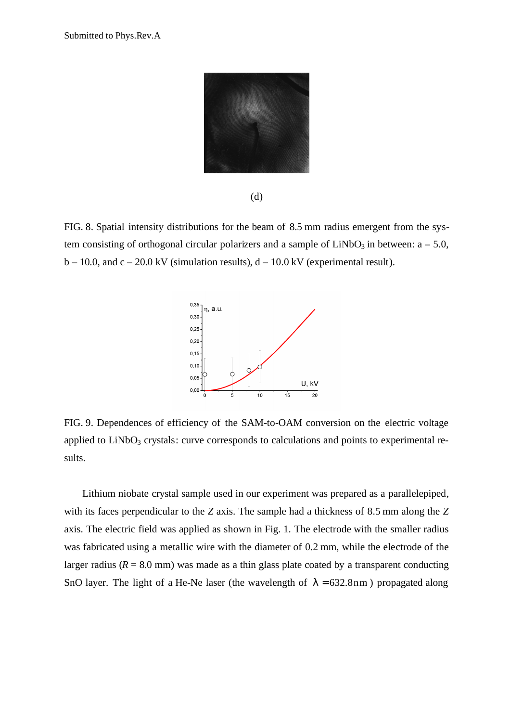

(d)

FIG. 8. Spatial intensity distributions for the beam of 8.5 mm radius emergent from the system consisting of orthogonal circular polarizers and a sample of  $LiNbO<sub>3</sub>$  in between:  $a - 5.0$ ,  $b - 10.0$ , and  $c - 20.0$  kV (simulation results),  $d - 10.0$  kV (experimental result).



FIG. 9. Dependences of efficiency of the SAM-to-OAM conversion on the electric voltage applied to  $LiNbO<sub>3</sub>$  crystals: curve corresponds to calculations and points to experimental results.

Lithium niobate crystal sample used in our experiment was prepared as a parallelepiped, with its faces perpendicular to the *Z* axis. The sample had a thickness of 8.5 mm along the *Z* axis. The electric field was applied as shown in Fig. 1. The electrode with the smaller radius was fabricated using a metallic wire with the diameter of 0.2 mm, while the electrode of the larger radius ( $R = 8.0$  mm) was made as a thin glass plate coated by a transparent conducting SnO layer. The light of a He-Ne laser (the wavelength of  $I = 632.8$ nm) propagated along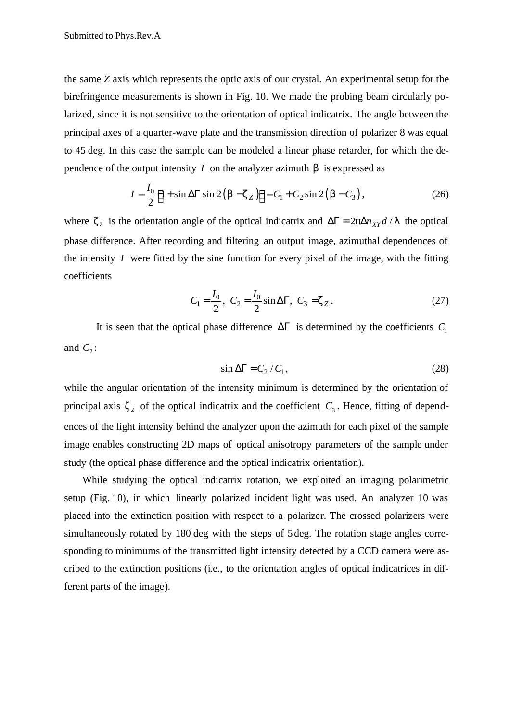the same *Z* axis which represents the optic axis of our crystal. An experimental setup for the birefringence measurements is shown in Fig. 10. We made the probing beam circularly polarized, since it is not sensitive to the orientation of optical indicatrix. The angle between the principal axes of a quarter-wave plate and the transmission direction of polarizer 8 was equal to 45 deg. In this case the sample can be modeled a linear phase retarder, for which the dependence of the output intensity *I* on the analyzer azimuth  $\boldsymbol{b}$  is expressed as

$$
I = \frac{I_0}{2} \Big[ 1 + \sin \Delta \Gamma \sin 2\left(\mathbf{b} - \mathbf{z}_Z\right) \Big] = C_1 + C_2 \sin 2\left(\mathbf{b} - C_3\right),\tag{26}
$$

where  $z_z$  is the orientation angle of the optical indicatrix and  $\Delta \Gamma = 2p \Delta n_{XY} d / I$  the optical phase difference. After recording and filtering an output image, azimuthal dependences of the intensity *I* were fitted by the sine function for every pixel of the image, with the fitting coefficients

$$
C_1 = \frac{I_0}{2}, \ \ C_2 = \frac{I_0}{2} \sin \Delta \Gamma, \ \ C_3 = \mathbf{z}_Z \,. \tag{27}
$$

It is seen that the optical phase difference  $\Delta \Gamma$  is determined by the coefficients  $C_1$ and  $C_2$ :

$$
\sin \Delta \Gamma = C_2 / C_1, \tag{28}
$$

while the angular orientation of the intensity minimum is determined by the orientation of principal axis  $\zeta_z$  of the optical indicatrix and the coefficient  $C_3$ . Hence, fitting of dependences of the light intensity behind the analyzer upon the azimuth for each pixel of the sample image enables constructing 2D maps of optical anisotropy parameters of the sample under study (the optical phase difference and the optical indicatrix orientation).

While studying the optical indicatrix rotation, we exploited an imaging polarimetric setup (Fig. 10), in which linearly polarized incident light was used. An analyzer 10 was placed into the extinction position with respect to a polarizer. The crossed polarizers were simultaneously rotated by 180 deg with the steps of 5 deg. The rotation stage angles corresponding to minimums of the transmitted light intensity detected by a CCD camera were ascribed to the extinction positions (i.e., to the orientation angles of optical indicatrices in different parts of the image).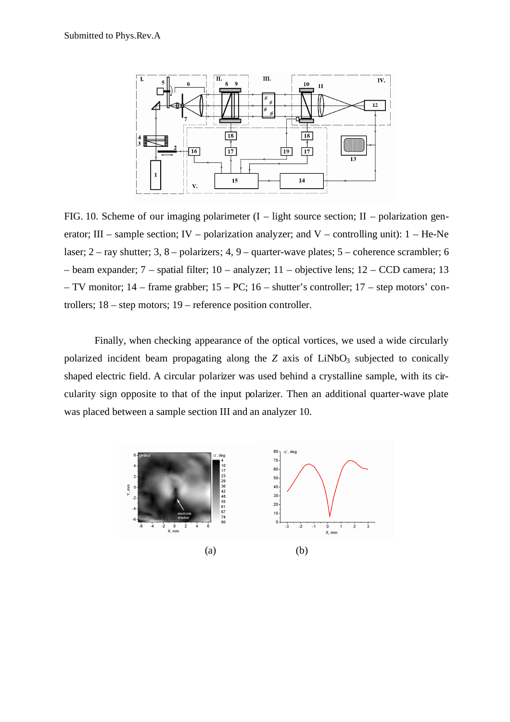

FIG. 10. Scheme of our imaging polarimeter  $(I - light source section; II - polarization gen$ erator; III – sample section; IV – polarization analyzer; and V – controlling unit):  $1 - He$ -Ne laser; 2 – ray shutter; 3, 8 – polarizers; 4, 9 – quarter-wave plates; 5 – coherence scrambler; 6 – beam expander; 7 – spatial filter; 10 – analyzer; 11 – objective lens; 12 – CCD camera; 13 – TV monitor; 14 – frame grabber; 15 – PC; 16 – shutter's controller; 17 – step motors' controllers; 18 – step motors; 19 – reference position controller.

Finally, when checking appearance of the optical vortices, we used a wide circularly polarized incident beam propagating along the  $Z$  axis of  $LiNbO<sub>3</sub>$  subjected to conically shaped electric field. A circular polarizer was used behind a crystalline sample, with its circularity sign opposite to that of the input polarizer. Then an additional quarter-wave plate was placed between a sample section III and an analyzer 10.

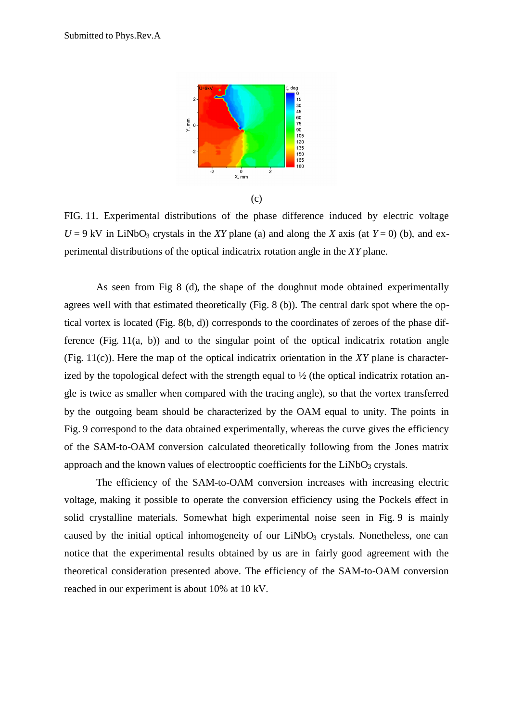

FIG. 11. Experimental distributions of the phase difference induced by electric voltage  $U = 9$  kV in LiNbO<sub>3</sub> crystals in the *XY* plane (a) and along the *X* axis (at  $Y = 0$ ) (b), and experimental distributions of the optical indicatrix rotation angle in the *XY* plane.

As seen from Fig 8 (d), the shape of the doughnut mode obtained experimentally agrees well with that estimated theoretically (Fig. 8 (b)). The central dark spot where the optical vortex is located (Fig. 8(b, d)) corresponds to the coordinates of zeroes of the phase difference (Fig.  $11(a, b)$ ) and to the singular point of the optical indicatrix rotation angle (Fig. 11(c)). Here the map of the optical indicatrix orientation in the *XY* plane is characterized by the topological defect with the strength equal to  $\frac{1}{2}$  (the optical indicatrix rotation angle is twice as smaller when compared with the tracing angle), so that the vortex transferred by the outgoing beam should be characterized by the OAM equal to unity. The points in Fig. 9 correspond to the data obtained experimentally, whereas the curve gives the efficiency of the SAM-to-OAM conversion calculated theoretically following from the Jones matrix approach and the known values of electrooptic coefficients for the  $LiNbO<sub>3</sub>$  crystals.

The efficiency of the SAM-to-OAM conversion increases with increasing electric voltage, making it possible to operate the conversion efficiency using the Pockels effect in solid crystalline materials. Somewhat high experimental noise seen in Fig. 9 is mainly caused by the initial optical inhomogeneity of our  $LiNbO<sub>3</sub>$  crystals. Nonetheless, one can notice that the experimental results obtained by us are in fairly good agreement with the theoretical consideration presented above. The efficiency of the SAM-to-OAM conversion reached in our experiment is about 10% at 10 kV.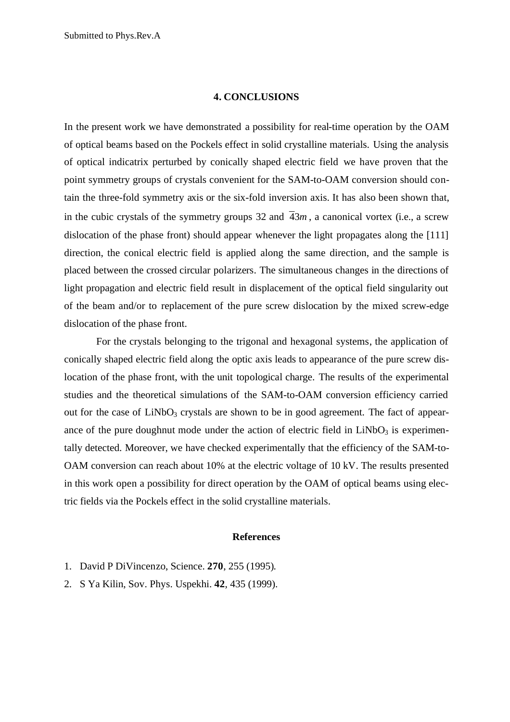### **4. CONCLUSIONS**

In the present work we have demonstrated a possibility for real-time operation by the OAM of optical beams based on the Pockels effect in solid crystalline materials. Using the analysis of optical indicatrix perturbed by conically shaped electric field we have proven that the point symmetry groups of crystals convenient for the SAM-to-OAM conversion should contain the three-fold symmetry axis or the six-fold inversion axis. It has also been shown that, in the cubic crystals of the symmetry groups 32 and  $\overline{4}3m$ , a canonical vortex (i.e., a screw dislocation of the phase front) should appear whenever the light propagates along the [111] direction, the conical electric field is applied along the same direction, and the sample is placed between the crossed circular polarizers. The simultaneous changes in the directions of light propagation and electric field result in displacement of the optical field singularity out of the beam and/or to replacement of the pure screw dislocation by the mixed screw-edge dislocation of the phase front.

For the crystals belonging to the trigonal and hexagonal systems, the application of conically shaped electric field along the optic axis leads to appearance of the pure screw dislocation of the phase front, with the unit topological charge. The results of the experimental studies and the theoretical simulations of the SAM-to-OAM conversion efficiency carried out for the case of  $LiNbO<sub>3</sub>$  crystals are shown to be in good agreement. The fact of appearance of the pure doughnut mode under the action of electric field in  $LiNbO<sub>3</sub>$  is experimentally detected. Moreover, we have checked experimentally that the efficiency of the SAM-to-OAM conversion can reach about 10% at the electric voltage of 10 kV. The results presented in this work open a possibility for direct operation by the OAM of optical beams using electric fields via the Pockels effect in the solid crystalline materials.

### **References**

- 1. David P DiVincenzo, Science. **270**, 255 (1995).
- 2. S Ya Kilin, Sov. Phys. Uspekhi. **42**, 435 (1999).